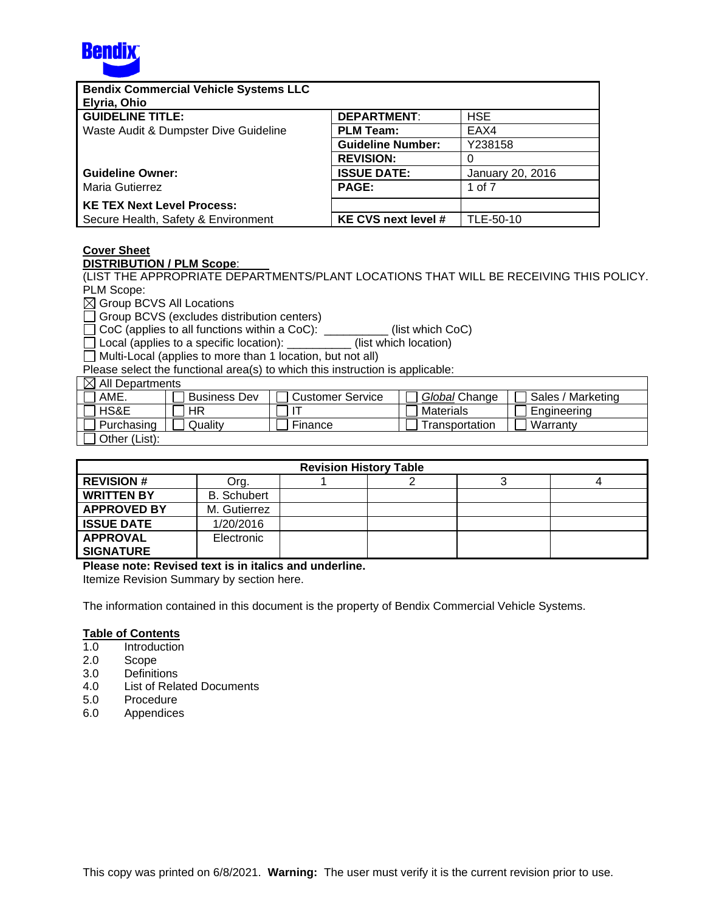

| <b>Bendix Commercial Vehicle Systems LLC</b> |                          |                  |
|----------------------------------------------|--------------------------|------------------|
| Elyria, Ohio                                 |                          |                  |
| <b>GUIDELINE TITLE:</b>                      | <b>DEPARTMENT:</b>       | <b>HSE</b>       |
| Waste Audit & Dumpster Dive Guideline        | <b>PLM Team:</b>         | EAX4             |
|                                              | <b>Guideline Number:</b> | Y238158          |
|                                              | <b>REVISION:</b>         | 0                |
| <b>Guideline Owner:</b>                      | <b>ISSUE DATE:</b>       | January 20, 2016 |
| Maria Gutierrez                              | <b>PAGE:</b>             | 1 of 7           |
| <b>KE TEX Next Level Process:</b>            |                          |                  |
| Secure Health, Safety & Environment          | KE CVS next level #      | TLE-50-10        |

# **Cover Sheet**

**DISTRIBUTION / PLM Scope**:

(LIST THE APPROPRIATE DEPARTMENTS/PLANT LOCATIONS THAT WILL BE RECEIVING THIS POLICY. PLM Scope:

■ Group BCVS All Locations

Group BCVS (excludes distribution centers)

 $\Box$  CoC (applies to all functions within a CoC): \_\_\_\_\_\_\_\_\_\_ (list which CoC)

 $\Box$  Local (applies to a specific location):  $\Box$  (list which location)

 $\Box$  Multi-Local (applies to more than 1 location, but not all)

Please select the functional area(s) to which this instruction is applicable:

| $\boxtimes$ All Departments |                     |                  |                |                   |  |  |  |
|-----------------------------|---------------------|------------------|----------------|-------------------|--|--|--|
| AME.                        | <b>Business Dev</b> | Customer Service | Global Change  | Sales / Marketing |  |  |  |
| HS&E                        | HR                  |                  | Materials      | Engineering       |  |  |  |
| Purchasing                  | Qualitv             | Finance          | Transportation | Warranty          |  |  |  |
| Other (List):               |                     |                  |                |                   |  |  |  |

| <b>Revision History Table</b> |                    |  |  |  |  |  |  |
|-------------------------------|--------------------|--|--|--|--|--|--|
| <b>REVISION #</b>             | Org.               |  |  |  |  |  |  |
| <b>WRITTEN BY</b>             | <b>B.</b> Schubert |  |  |  |  |  |  |
| <b>APPROVED BY</b>            | M. Gutierrez       |  |  |  |  |  |  |
| <b>ISSUE DATE</b>             | 1/20/2016          |  |  |  |  |  |  |
| <b>APPROVAL</b>               | Electronic         |  |  |  |  |  |  |
| <b>SIGNATURE</b>              |                    |  |  |  |  |  |  |

#### **Please note: Revised text is in italics and underline.**

Itemize Revision Summary by section here.

The information contained in this document is the property of Bendix Commercial Vehicle Systems.

#### **Table of Contents**

- 1.0 Introduction
- 2.0 Scope
- 3.0 Definitions
- 4.0 List of Related Documents
- 5.0 Procedure
- 6.0 Appendices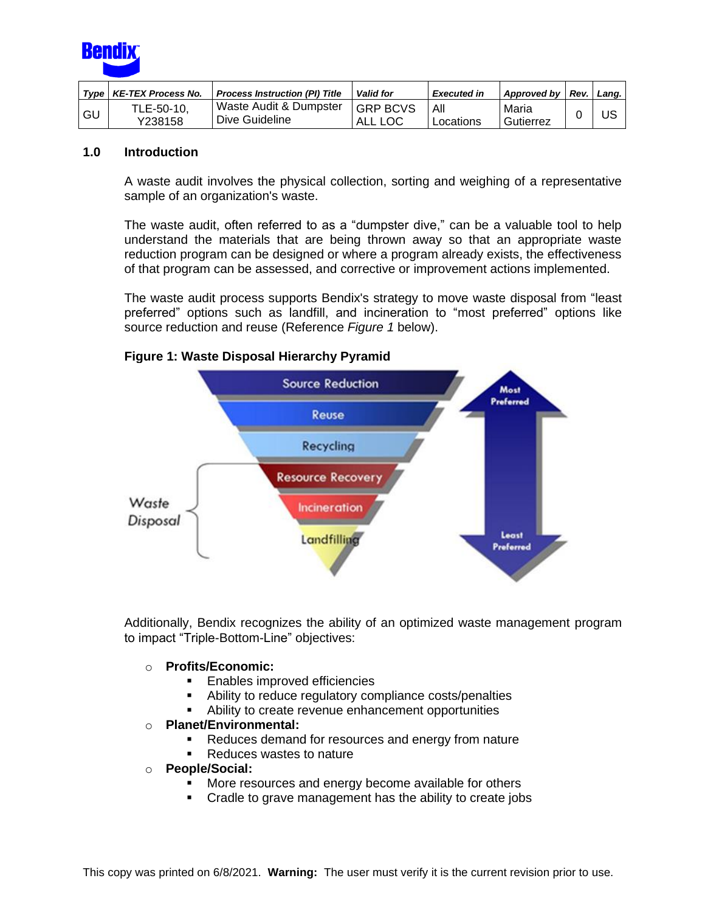

|      | Type   KE-TEX Process No. | <b>Process Instruction (PI) Title</b>    | <b>Valid for</b>           | <b>Executed in</b> | Approved by   Rev. | Lana. |
|------|---------------------------|------------------------------------------|----------------------------|--------------------|--------------------|-------|
| I GU | TLE-50-10,<br>Y238158     | Waste Audit & Dumpster<br>Dive Guideline | <b>GRP BCVS</b><br>ALL LOC | All<br>Locations   | Maria<br>Gutierrez | บร    |

# **1.0 Introduction**

A waste audit involves the physical collection, sorting and weighing of a representative sample of an organization's waste.

The waste audit, often referred to as a "dumpster dive," can be a valuable tool to help understand the materials that are being thrown away so that an appropriate waste reduction program can be designed or where a program already exists, the effectiveness of that program can be assessed, and corrective or improvement actions implemented.

The waste audit process supports Bendix's strategy to move waste disposal from "least preferred" options such as landfill, and incineration to "most preferred" options like source reduction and reuse (Reference *Figure 1* below).



### **Figure 1: Waste Disposal Hierarchy Pyramid**

Additionally, Bendix recognizes the ability of an optimized waste management program to impact "Triple-Bottom-Line" objectives:

#### o **Profits/Economic:**

- Enables improved efficiencies
- Ability to reduce regulatory compliance costs/penalties
- **EXED** Ability to create revenue enhancement opportunities

### o **Planet/Environmental:**

- Reduces demand for resources and energy from nature
- Reduces wastes to nature
- o **People/Social:**
	- More resources and energy become available for others
	- Cradle to grave management has the ability to create jobs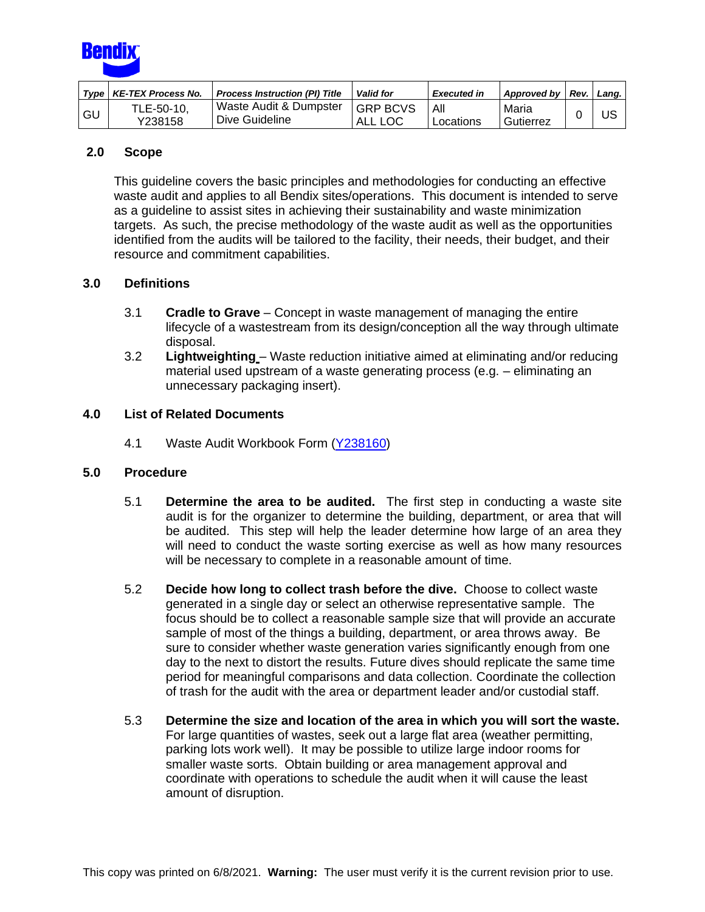

|      | Type   KE-TEX Process No. | <b>Process Instruction (PI) Title</b>    | <b>Valid for</b>           | <b>Executed in</b> | Approved by Rev.   | Lang. |
|------|---------------------------|------------------------------------------|----------------------------|--------------------|--------------------|-------|
| - GU | TLE-50-10.<br>Y238158     | Waste Audit & Dumpster<br>Dive Guideline | <b>GRP BCVS</b><br>ALL LOC | All<br>Locations   | Maria<br>Gutierrez | บร    |

# **2.0 Scope**

This guideline covers the basic principles and methodologies for conducting an effective waste audit and applies to all Bendix sites/operations. This document is intended to serve as a guideline to assist sites in achieving their sustainability and waste minimization targets. As such, the precise methodology of the waste audit as well as the opportunities identified from the audits will be tailored to the facility, their needs, their budget, and their resource and commitment capabilities.

# **3.0 Definitions**

- 3.1 **Cradle to Grave** Concept in waste management of managing the entire lifecycle of a wastestream from its design/conception all the way through ultimate disposal.
- 3.2 **Lightweighting** Waste reduction initiative aimed at eliminating and/or reducing material used upstream of a waste generating process (e.g. – eliminating an unnecessary packaging insert).

# **4.0 List of Related Documents**

4.1 Waste Audit Workbook Form [\(Y238160\)](http://a2wls.grp.knorr-bremse.com:3131/GetCVSPLMProcDoc.htm?id=Y238160&language=US)

### **5.0 Procedure**

- 5.1 **Determine the area to be audited.** The first step in conducting a waste site audit is for the organizer to determine the building, department, or area that will be audited. This step will help the leader determine how large of an area they will need to conduct the waste sorting exercise as well as how many resources will be necessary to complete in a reasonable amount of time.
- 5.2 **Decide how long to collect trash before the dive.** Choose to collect waste generated in a single day or select an otherwise representative sample. The focus should be to collect a reasonable sample size that will provide an accurate sample of most of the things a building, department, or area throws away. Be sure to consider whether waste generation varies significantly enough from one day to the next to distort the results. Future dives should replicate the same time period for meaningful comparisons and data collection. Coordinate the collection of trash for the audit with the area or department leader and/or custodial staff.
- 5.3 **Determine the size and location of the area in which you will sort the waste.** For large quantities of wastes, seek out a large flat area (weather permitting, parking lots work well). It may be possible to utilize large indoor rooms for smaller waste sorts. Obtain building or area management approval and coordinate with operations to schedule the audit when it will cause the least amount of disruption.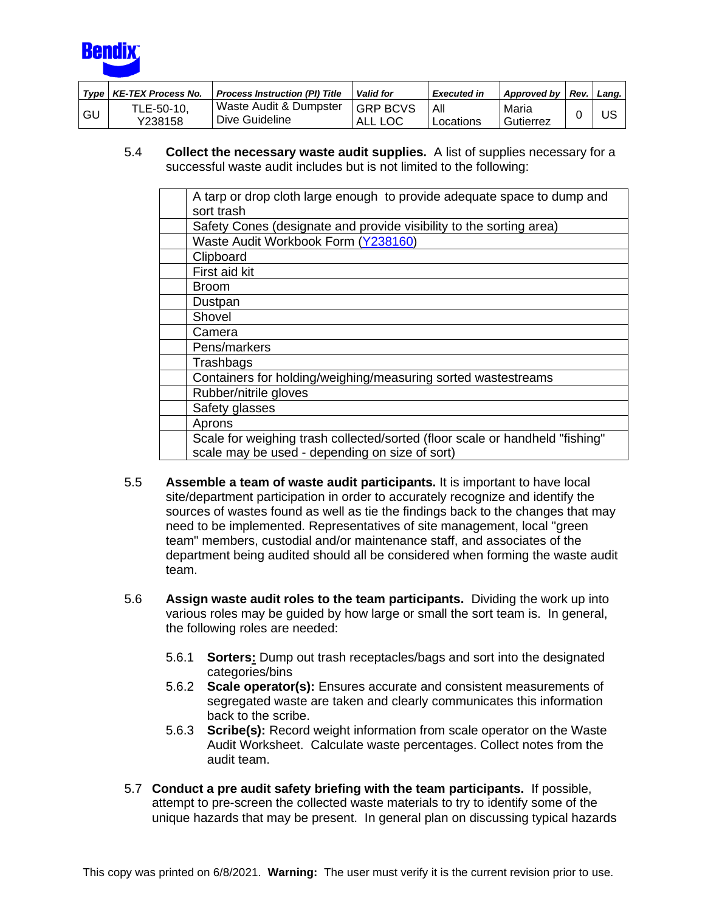

|    | Type   KE-TEX Process No. | <b>Process Instruction (PI) Title</b>    | <b>Valid for</b>           | <b>Executed in</b> | Approved by        | Rev. | Lana. |
|----|---------------------------|------------------------------------------|----------------------------|--------------------|--------------------|------|-------|
| GU | TLE-50-10,<br>Y238158     | Waste Audit & Dumpster<br>Dive Guideline | <b>GRP BCVS</b><br>ALL LOC | All<br>Locations   | Maria<br>Gutierrez |      | US    |

5.4 **Collect the necessary waste audit supplies.** A list of supplies necessary for a successful waste audit includes but is not limited to the following:

| A tarp or drop cloth large enough to provide adequate space to dump and      |
|------------------------------------------------------------------------------|
| sort trash                                                                   |
| Safety Cones (designate and provide visibility to the sorting area)          |
| Waste Audit Workbook Form (Y238160)                                          |
| Clipboard                                                                    |
| First aid kit                                                                |
| <b>Broom</b>                                                                 |
| Dustpan                                                                      |
| Shovel                                                                       |
| Camera                                                                       |
| Pens/markers                                                                 |
| Trashbags                                                                    |
| Containers for holding/weighing/measuring sorted wastestreams                |
| Rubber/nitrile gloves                                                        |
| Safety glasses                                                               |
| Aprons                                                                       |
| Scale for weighing trash collected/sorted (floor scale or handheld "fishing" |
| scale may be used - depending on size of sort)                               |

- 5.5 **Assemble a team of waste audit participants.** It is important to have local site/department participation in order to accurately recognize and identify the sources of wastes found as well as tie the findings back to the changes that may need to be implemented. Representatives of site management, local "green team" members, custodial and/or maintenance staff, and associates of the department being audited should all be considered when forming the waste audit team.
- 5.6 **Assign waste audit roles to the team participants.** Dividing the work up into various roles may be guided by how large or small the sort team is. In general, the following roles are needed:
	- 5.6.1 **Sorters:** Dump out trash receptacles/bags and sort into the designated categories/bins
	- 5.6.2 **Scale operator(s):** Ensures accurate and consistent measurements of segregated waste are taken and clearly communicates this information back to the scribe.
	- 5.6.3 **Scribe(s):** Record weight information from scale operator on the Waste Audit Worksheet. Calculate waste percentages. Collect notes from the audit team.
- 5.7 **Conduct a pre audit safety briefing with the team participants.** If possible, attempt to pre-screen the collected waste materials to try to identify some of the unique hazards that may be present. In general plan on discussing typical hazards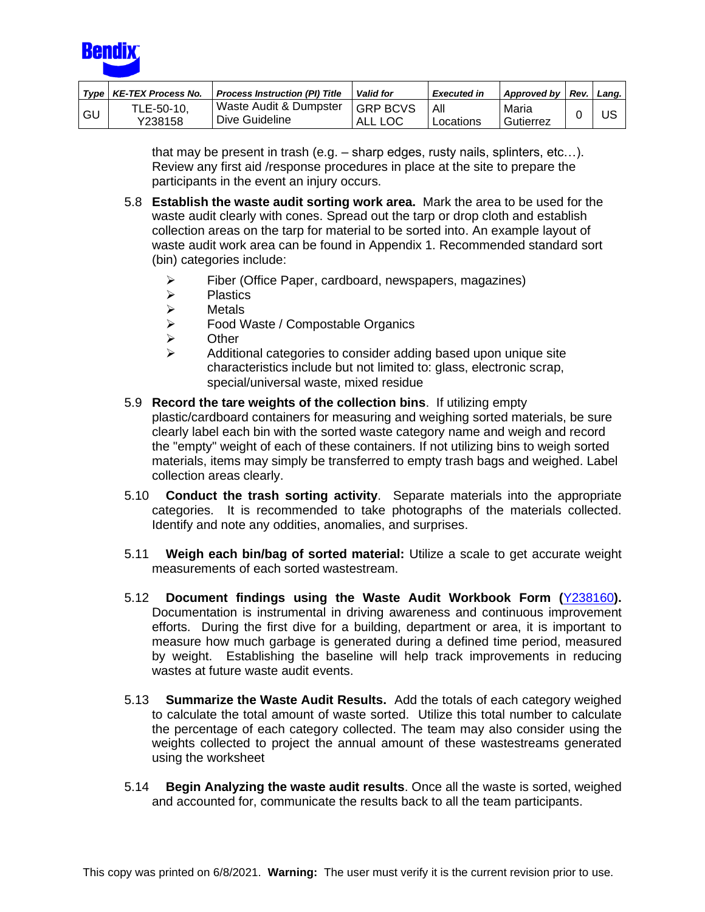

|      | Type   KE-TEX Process No. | <b>Process Instruction (PI) Title</b>    | <b>Valid for</b>            | <b>Executed in</b> | Approved by Rev.   | Lang, |
|------|---------------------------|------------------------------------------|-----------------------------|--------------------|--------------------|-------|
| l GU | TLE-50-10.<br>Y238158     | Waste Audit & Dumpster<br>Dive Guideline | <b>IGRP BCVS</b><br>ALL LOC | All<br>Locations   | Maria<br>Gutierrez | JS    |

that may be present in trash (e.g. – sharp edges, rusty nails, splinters, etc…). Review any first aid /response procedures in place at the site to prepare the participants in the event an injury occurs.

- 5.8 **Establish the waste audit sorting work area.** Mark the area to be used for the waste audit clearly with cones. Spread out the tarp or drop cloth and establish collection areas on the tarp for material to be sorted into. An example layout of waste audit work area can be found in Appendix 1. Recommended standard sort (bin) categories include:
	- ➢ Fiber (Office Paper, cardboard, newspapers, magazines)
	- ➢ Plastics
	- ➢ Metals
	- ➢ Food Waste / Compostable Organics
	- **Other**
	- ➢ Additional categories to consider adding based upon unique site characteristics include but not limited to: glass, electronic scrap, special/universal waste, mixed residue
- 5.9 **Record the tare weights of the collection bins**. If utilizing empty plastic/cardboard containers for measuring and weighing sorted materials, be sure clearly label each bin with the sorted waste category name and weigh and record the "empty" weight of each of these containers. If not utilizing bins to weigh sorted materials, items may simply be transferred to empty trash bags and weighed. Label collection areas clearly.
- 5.10 **Conduct the trash sorting activity**. Separate materials into the appropriate categories. It is recommended to take photographs of the materials collected. Identify and note any oddities, anomalies, and surprises.
- 5.11 **Weigh each bin/bag of sorted material:** Utilize a scale to get accurate weight measurements of each sorted wastestream.
- 5.12 **Document findings using the Waste Audit Workbook Form (**[Y238160](http://a2wls.grp.knorr-bremse.com:3131/GetCVSPLMProcDoc.htm?id=Y238160&language=US)**).** Documentation is instrumental in driving awareness and continuous improvement efforts. During the first dive for a building, department or area, it is important to measure how much garbage is generated during a defined time period, measured by weight. Establishing the baseline will help track improvements in reducing wastes at future waste audit events.
- 5.13 **Summarize the Waste Audit Results.** Add the totals of each category weighed to calculate the total amount of waste sorted. Utilize this total number to calculate the percentage of each category collected. The team may also consider using the weights collected to project the annual amount of these wastestreams generated using the worksheet
- 5.14 **Begin Analyzing the waste audit results**. Once all the waste is sorted, weighed and accounted for, communicate the results back to all the team participants.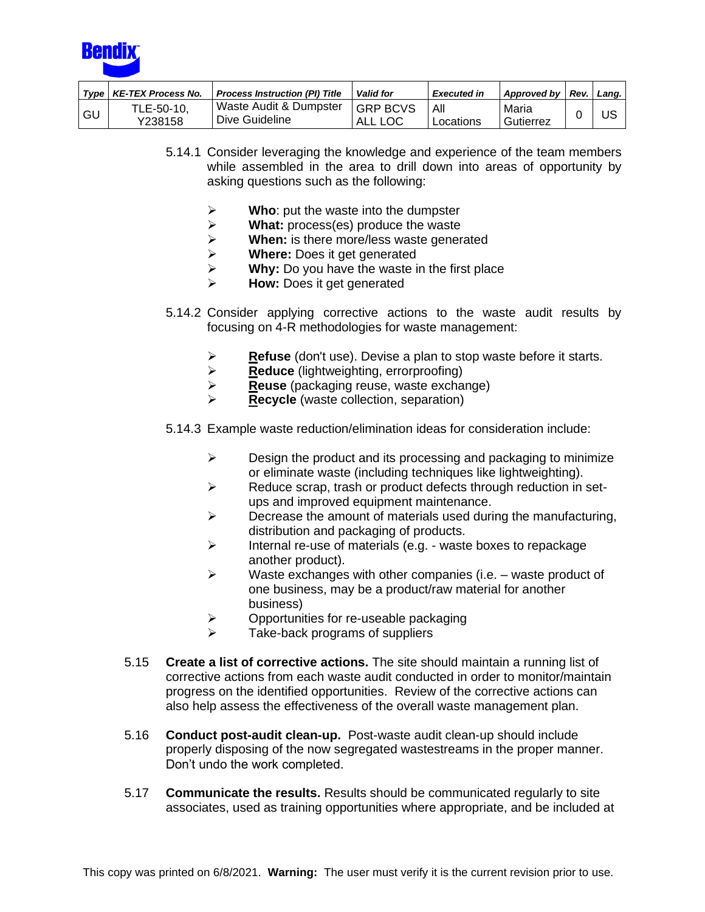

|      | Type   KE-TEX Process No. | <b>Process Instruction (PI) Title</b>    | <b>Valid for</b>           | <b>Executed in</b> | Approved by        | Rev. | Lana. |
|------|---------------------------|------------------------------------------|----------------------------|--------------------|--------------------|------|-------|
| ' GU | TLE-50-10,<br>Y238158     | Waste Audit & Dumpster<br>Dive Guideline | <b>GRP BCVS</b><br>ALL LOC | All<br>Locations   | Maria<br>Gutierrez |      | US    |

- 5.14.1 Consider leveraging the knowledge and experience of the team members while assembled in the area to drill down into areas of opportunity by asking questions such as the following:
	- ➢ **Who**: put the waste into the dumpster
	- ➢ **What:** process(es) produce the waste
	- ➢ **When:** is there more/less waste generated
	- ➢ **Where:** Does it get generated
	- ➢ **Why:** Do you have the waste in the first place
	- ➢ **How:** Does it get generated
- 5.14.2 Consider applying corrective actions to the waste audit results by focusing on 4-R methodologies for waste management:
	- ➢ **Refuse** (don't use). Devise a plan to stop waste before it starts.
	- ➢ **Reduce** (lightweighting, errorproofing)
	- ➢ **Reuse** (packaging reuse, waste exchange)
	- ➢ **Recycle** (waste collection, separation)
- 5.14.3 Example waste reduction/elimination ideas for consideration include:
	- $\triangleright$  Design the product and its processing and packaging to minimize or eliminate waste (including techniques like lightweighting).
	- ➢ Reduce scrap, trash or product defects through reduction in setups and improved equipment maintenance.
	- $\triangleright$  Decrease the amount of materials used during the manufacturing, distribution and packaging of products.
	- ➢ Internal re-use of materials (e.g. waste boxes to repackage another product).
	- $\triangleright$  Waste exchanges with other companies (i.e. waste product of one business, may be a product/raw material for another business)
	- $\triangleright$  Opportunities for re-useable packaging
	- $\triangleright$  Take-back programs of suppliers
- 5.15 **Create a list of corrective actions.** The site should maintain a running list of corrective actions from each waste audit conducted in order to monitor/maintain progress on the identified opportunities. Review of the corrective actions can also help assess the effectiveness of the overall waste management plan.
- 5.16 **Conduct post-audit clean-up.** Post-waste audit clean-up should include properly disposing of the now segregated wastestreams in the proper manner. Don't undo the work completed.
- 5.17 **Communicate the results.** Results should be communicated regularly to site associates, used as training opportunities where appropriate, and be included at